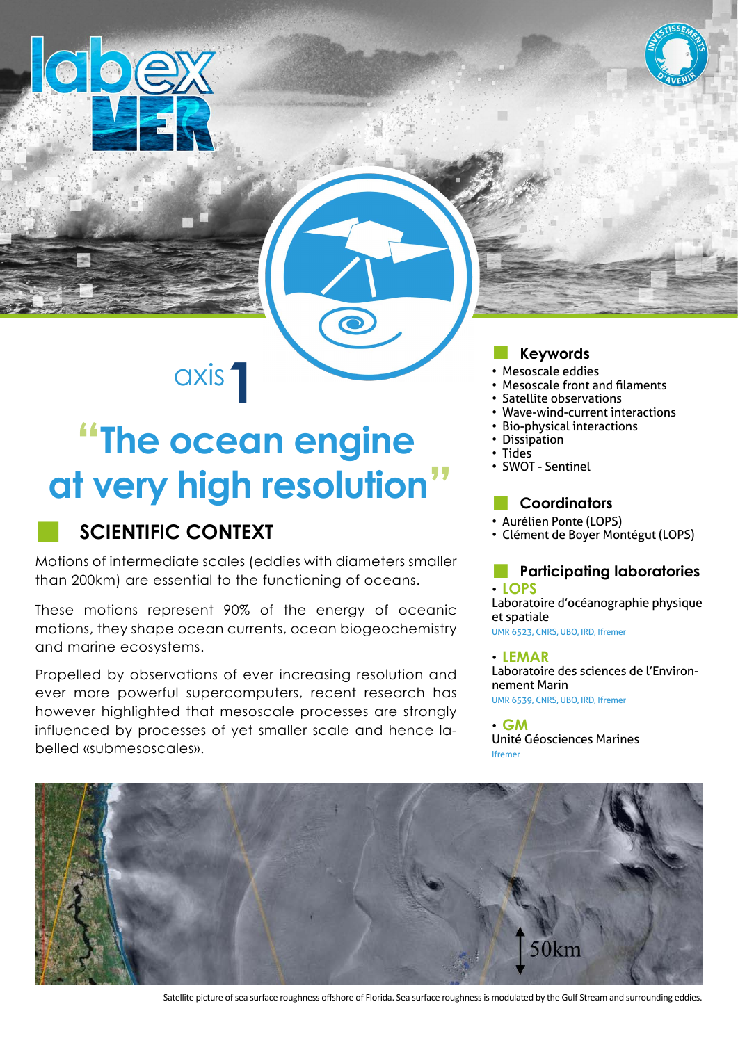

axis**1**

# **"The ocean engine at very high resolution"**

## **SCIENTIFIC CONTEXT**

lobex

Motions of intermediate scales (eddies with diameters smaller than 200km) are essential to the functioning of oceans.

These motions represent 90% of the energy of oceanic motions, they shape ocean currents, ocean biogeochemistry and marine ecosystems.

Propelled by observations of ever increasing resolution and ever more powerful supercomputers, recent research has however highlighted that mesoscale processes are strongly influenced by processes of yet smaller scale and hence labelled «submesoscales».

### ■ **Keywords**

- Mesoscale eddies
- Mesoscale front and filaments
- Satellite observations
- Wave-wind-current interactions
- Bio-physical interactions
- Dissipation
- Tides
- SWOT Sentinel

#### ■ **Coordinators**

- Aurélien Ponte (LOPS)
- Clément de Boyer Montégut (LOPS)

#### **Participating laboratories** • **LOPS**

Laboratoire d'océanographie physique et spatiale UMR 6523, CNRS, UBO, IRD, Ifremer

#### • **LEMAR**

Laboratoire des sciences de l'Environnement Marin UMR 6539, CNRS, UBO, IRD, Ifremer

• **GM** Unité Géosciences Marines Ifremer



Satellite picture of sea surface roughness offshore of Florida. Sea surface roughness is modulated by the Gulf Stream and surrounding eddies.